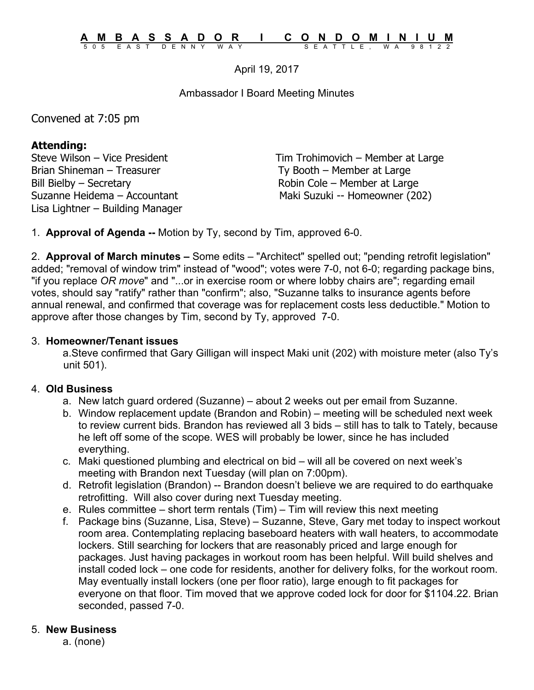April 19, 2017

Ambassador I Board Meeting Minutes

Convened at 7:05 pm

## **Attending:**

Brian Shineman – Treasurer Ty Booth – Member at Large Bill Bielby – Secretary **Robin Cole – Member at Large** Lisa Lightner – Building Manager

Steve Wilson – Vice President Tim Trohimovich – Member at Large Suzanne Heidema – Accountant Maki Suzuki -- Homeowner (202)

1. **Approval of Agenda --** Motion by Ty, second by Tim, approved 6-0.

2. **Approval of March minutes –** Some edits – "Architect" spelled out; "pending retrofit legislation" added; "removal of window trim" instead of "wood"; votes were 7-0, not 6-0; regarding package bins, "if you replace *OR move*" and "...or in exercise room or where lobby chairs are"; regarding email votes, should say "ratify" rather than "confirm"; also, "Suzanne talks to insurance agents before annual renewal, and confirmed that coverage was for replacement costs less deductible." Motion to approve after those changes by Tim, second by Ty, approved 7-0.

## 3. **Homeowner/Tenant issues**

a.Steve confirmed that Gary Gilligan will inspect Maki unit (202) with moisture meter (also Ty's unit 501).

## 4. **Old Business**

- a. New latch guard ordered (Suzanne) about 2 weeks out per email from Suzanne.
- b. Window replacement update (Brandon and Robin) meeting will be scheduled next week to review current bids. Brandon has reviewed all 3 bids – still has to talk to Tately, because he left off some of the scope. WES will probably be lower, since he has included everything.
- c. Maki questioned plumbing and electrical on bid will all be covered on next week's meeting with Brandon next Tuesday (will plan on 7:00pm).
- d. Retrofit legislation (Brandon) -- Brandon doesn't believe we are required to do earthquake retrofitting. Will also cover during next Tuesday meeting.
- e. Rules committee short term rentals (Tim) Tim will review this next meeting
- f. Package bins (Suzanne, Lisa, Steve) Suzanne, Steve, Gary met today to inspect workout room area. Contemplating replacing baseboard heaters with wall heaters, to accommodate lockers. Still searching for lockers that are reasonably priced and large enough for packages. Just having packages in workout room has been helpful. Will build shelves and install coded lock – one code for residents, another for delivery folks, for the workout room. May eventually install lockers (one per floor ratio), large enough to fit packages for everyone on that floor. Tim moved that we approve coded lock for door for \$1104.22. Brian seconded, passed 7-0.

## 5. **New Business**

a. (none)